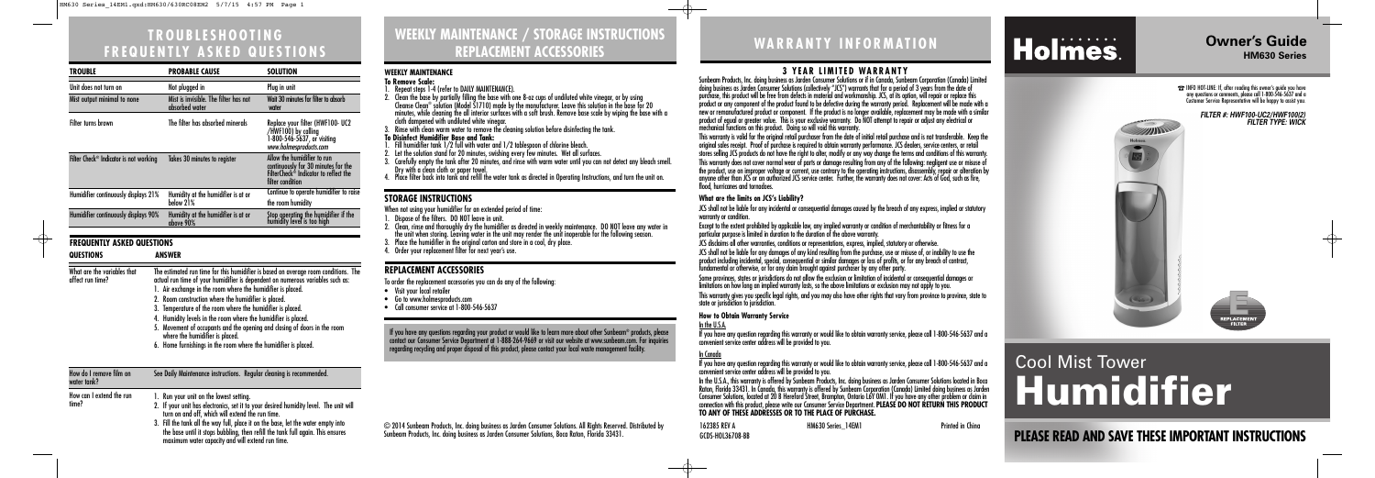When not using your humidifier for an extended period of time:

- 1. Dispose of the filters. DO NOT leave in unit.
- 2. Clean, rinse and thoroughly dry the humidifier as directed in weekly maintenance. DO NOT leave any water in the unit when storing. Leaving water in the unit may render the unit inoperable for the following season.
- 3. Place the humidifier in the original carton and store in a cool, dry place.
- 4. Order your replacement filter for next year's use.

# **WEEKLY MAINTENANCE / STORAGE INSTRUCTIONS REPLACEMENT ACCESSORIES**

**PLEASE READ AND SAVE THESE IMPORTANT INSTRUCTIONS**

# **WARRANTY INFORMATION**

# Holmes.

© 2014 Sunbeam Products, Inc. doing business as Jarden Consumer Solutions. All Rights Reserved. Distributed by Sunbeam Products, Inc. doing business as Jarden Consumer Solutions, Boca Raton, Florida 33431.

162385 REV A HM630 Series\_14EM1 Printed in China GCDS-HOL36708-BB

## **Owner's Guide HM630 Series**

# **TROUBLESHOOTING FREQUENTLY ASKED QUESTIONS**



 $\left(\frac{1}{2}x^{2}-x^{2}\right)$ 

**SANTINO** 

Holmes.

#### **REPLACEMENT ACCESSORIES**

To order the replacement accessories you can do any of the following:

- Visit your local retailer
- Go to www.holmesproducts.com
- Call consumer service at 1-800-546-5637

2. If your unit has electronics, set it to your desired humidity level. The unit will turn on and off, which will extend the run time. 3. Fill the tank all the way full, place it on the base, let the water empty into the base until it stops bubbling, then refill the tank full again. This ensures maximum water capacity and will extend run time.



**ENERGY CONTRACT**<br>FILTER

#### **FILTER #: HWF100-UC2/HWF100(2) FILTER TYPE: WICK**

 $\oplus$ 

#### **WEEKLY MAINTENANCE**

- JCS disclaims all other warranties, conditions or representations, express, implied, statutory or otherwise.
- JCS shall not be liable for any damages of any kind resulting from the purchase, use or misuse of, or inability to use the product including incidental, special, consequential or similar damages or loss of profits, or for any breach of contract, fundamental or otherwise, or for any claim brought against purchaser by any other party.
- Some provinces, states or jurisdictions do not allow the exclusion or limitation of incidental or consequential damages or limitations on how long an implied warranty lasts, so the above limitations or exclusion may not apply to you.
- This warranty gives you specific legal rights, and you may also have other rights that vary from province to province, state to state or jurisdiction to jurisdiction.
- **To Remove Scale:**
- 1. Repeat steps 1-4 (refer to DAILY MAINTENANCE).
- 2. Clean the base by partially filling the base with one 8-oz cups of undiluted white vinegar, or by using Cleanse Clean® solution (Model S1710) made by the manufacturer. Leave this solution in the base for 20 minutes, while cleaning the all interior surfaces with a soft brush. Remove base scale by wiping the base with a cloth dampened with undiluted white vinegar.
- 3. Rinse with clean warm water to remove the cleaning solution before disinfecting the tank.
- **To Disinfect Humidifier Base and Tank:**
- 1. Fill humidifier tank 1/2 full with water and 1/2 tablespoon of chlorine bleach.
- 2. Let the solution stand for 20 minutes, swishing every few minutes. Wet all surfaces.
- 3. Carefully empty the tank after 20 minutes, and rinse with warm water until you can not detect any bleach smell. Dry with a clean cloth or paper towel.
- 4. Place filter back into tank and refill the water tank as directed in Operating Instructions, and turn the unit on.

#### **STORAGE INSTRUCTIONS**

### **3 YEAR LIMITED WARRANTY**

If you have any questions regarding your product or would like to learn more about other Sunbeam® products, please<br>contact our Consumer Service Department at 1-888-264-9669 or visit our website at www.sunbeam.com. For inqu regarding recycling and proper disposal of this product, please contact your local waste management facility.

Sunbeam Products, Inc. doing business as Jarden Consumer Solutions or if in Canada, Sunbeam Corporation (Canada) Limited doing business as Jarden Consumer Solutions (collectively "JCS") warrants that for a period of 3 years from the date of purchase, this product will be free from defects in material and workmanship. JCS, at its option, will repair or replace this product or any component of the product found to be defective during the warranty period. Replacement will be made with a new or remanufactured product or component. If the product is no longer available, replacement may be made with a similar product of equal or greater value. This is your exclusive warranty. Do NOT attempt to repair or adjust any electrical or mechanical functions on this product. Doing so will void this warranty.

This warranty is valid for the original retail purchaser from the date of initial retail purchase and is not transferable. Keep the original sales receipt. Proof of purchase is required to obtain warranty performance. JCS dealers, service centers, or retail stores selling JCS products do not have the right to alter, modify or any way change the terms and conditions of this warranty. This warranty does not cover normal wear of parts or damage resulting from any of the following: negligent use or misuse of the product, use on improper voltage or current, use contrary to the operating instructions, disassembly, repair or alteration by anyone other than JCS or an authorized JCS service center. Further, the warranty does not cover: Acts of God, such as fire, flood, hurricanes and tornadoes.

| TROUBLE                                               | <b>PROBABLE CAUSE</b>                                                                                                                                                                                                                                                                                                                                                                                                                                                                                                                                                                                           | <b>SOLUTION</b>                                                                                                                             |
|-------------------------------------------------------|-----------------------------------------------------------------------------------------------------------------------------------------------------------------------------------------------------------------------------------------------------------------------------------------------------------------------------------------------------------------------------------------------------------------------------------------------------------------------------------------------------------------------------------------------------------------------------------------------------------------|---------------------------------------------------------------------------------------------------------------------------------------------|
| Unit does not turn on                                 | Not plugged in                                                                                                                                                                                                                                                                                                                                                                                                                                                                                                                                                                                                  | Plug in unit                                                                                                                                |
| Mist output minimal to none                           | Mist is invisible. The filter has not<br>absorbed water                                                                                                                                                                                                                                                                                                                                                                                                                                                                                                                                                         | Wait 30 minutes for filter to absorb<br>water                                                                                               |
| <b>Filter turns brown</b>                             | The filter has absorbed minerals                                                                                                                                                                                                                                                                                                                                                                                                                                                                                                                                                                                | Replace your filter (HWF100- UC2<br>/HWF100) by calling<br>1-800-546-5637, or visiting<br>www.holmesproducts.com                            |
| Filter Check <sup>®</sup> Indicator is not working    | Takes 30 minutes to register                                                                                                                                                                                                                                                                                                                                                                                                                                                                                                                                                                                    | Allow the humidifier to run<br>continuously for 30 minutes for the<br>FilterCheck <sup>®</sup> Indicator to reflect the<br>filter condition |
| Humidifier continuously displays 21%                  | Humidity at the humidifier is at or<br>below 21%                                                                                                                                                                                                                                                                                                                                                                                                                                                                                                                                                                | Continue to operate humidifier to raise<br>the room humidity                                                                                |
| Humidifier continuously displays 90%                  | Humidity at the humidifier is at or<br>above 90%                                                                                                                                                                                                                                                                                                                                                                                                                                                                                                                                                                | Stop operating the humidifier if the<br>humidity level is too high                                                                          |
| <b>FREQUENTLY ASKED QUESTIONS</b><br><b>QUESTIONS</b> | <b>ANSWER</b>                                                                                                                                                                                                                                                                                                                                                                                                                                                                                                                                                                                                   |                                                                                                                                             |
| What are the variables that<br>affect run time?       | The estimated run time for this humidifier is based on average room conditions. The<br>actual run time of your humidifier is dependent on numerous variables such as:<br>1. Air exchange in the room where the humidifier is placed.<br>2. Room construction where the humidifier is placed.<br>3. Temperature of the room where the humidifier is placed.<br>4. Humidity levels in the room where the humidifier is placed.<br>5. Movement of occupants and the opening and closing of doors in the room<br>where the humidifier is placed.<br>6. Home furnishings in the room where the humidifier is placed. |                                                                                                                                             |
| How do I remove film on<br>water tank?                | See Daily Maintenance instructions. Regular cleaning is recommended.                                                                                                                                                                                                                                                                                                                                                                                                                                                                                                                                            |                                                                                                                                             |
| How can I extend the run<br>time?                     | 1. Run your unit on the lowest setting.<br>If your unit has electronics sot it to your desired bumidity loyel. The unit will                                                                                                                                                                                                                                                                                                                                                                                                                                                                                    |                                                                                                                                             |

#### **What are the limits on JCS's Liability?**

JCS shall not be liable for any incidental or consequential damages caused by the breach of any express, implied or statutory warranty or condition.

Except to the extent prohibited by applicable law, any implied warranty or condition of merchantability or fitness for a particular purpose is limited in duration to the duration of the above warranty.

#### **How to Obtain Warranty Service**

In the U.S.A.

If you have any question regarding this warranty or would like to obtain warranty service, please call 1-800-546-5637 and a convenient service center address will be provided to you.

#### In Canada

If you have any question regarding this warranty or would like to obtain warranty service, please call 1-800-546-5637 and a convenient service center address will be provided to you. In the U.S.A., this warranty is offered by Sunbeam Products, Inc. doing business as Jarden Consumer Solutions located in Boca Raton, Florida 33431. In Canada, this warranty is offered by Sunbeam Corporation (Canada) Limited doing business as Jarden Consumer Solutions, located at 20 B Hereford Street, Brampton, Ontario L6Y 0M1. If you have any other problem or claim in connection with this product, please write our Consumer Service Department. **PLEASE DO NOT RETURN THIS PRODUCT TO ANY OF THESE ADDRESSES OR TO THE PLACE OF PURCHASE.**